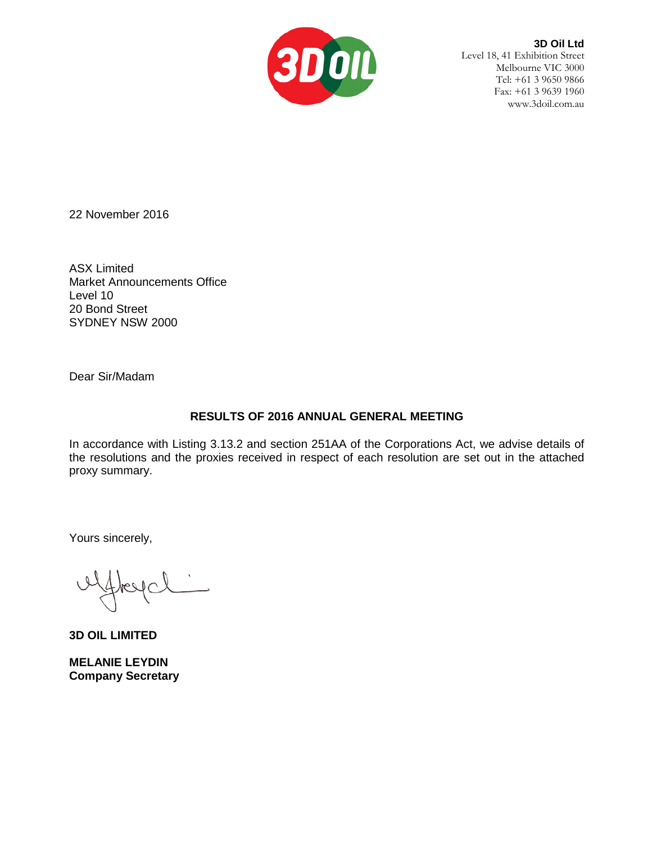

**3D Oil Ltd** Level 18, 41 Exhibition Street Melbourne VIC 3000 Tel: +61 3 9650 9866 Fax: +61 3 9639 1960 www.3doil.com.au

22 November 2016

ASX Limited Market Announcements Office Level 10 20 Bond Street SYDNEY NSW 2000

Dear Sir/Madam

## **RESULTS OF 2016 ANNUAL GENERAL MEETING**

In accordance with Listing 3.13.2 and section 251AA of the Corporations Act, we advise details of the resolutions and the proxies received in respect of each resolution are set out in the attached proxy summary.

Yours sincerely,

**3D OIL LIMITED**

**MELANIE LEYDIN Company Secretary**